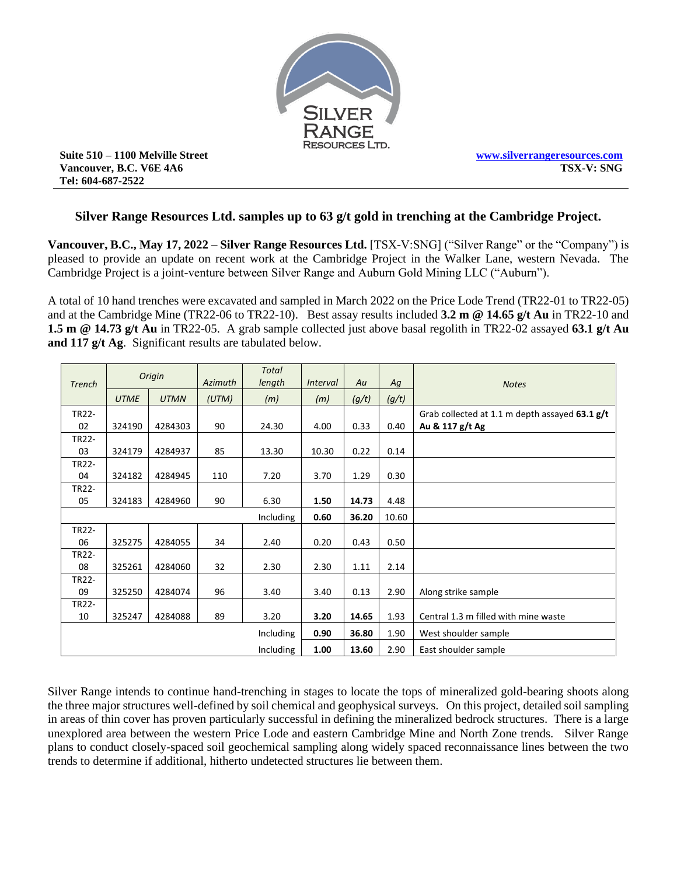

**Suite 510 – 1100 Melville Street Vancouver, B.C. V6E 4A6 Tel: 604-687-2522**

# **Silver Range Resources Ltd. samples up to 63 g/t gold in trenching at the Cambridge Project.**

**Vancouver, B.C., May 17, 2022 – Silver Range Resources Ltd.** [TSX-V:SNG] ("Silver Range" or the "Company") is pleased to provide an update on recent work at the Cambridge Project in the Walker Lane, western Nevada. The Cambridge Project is a joint-venture between Silver Range and Auburn Gold Mining LLC ("Auburn").

A total of 10 hand trenches were excavated and sampled in March 2022 on the Price Lode Trend (TR22-01 to TR22-05) and at the Cambridge Mine (TR22-06 to TR22-10). Best assay results included **3.2 m @ 14.65 g/t Au** in TR22-10 and **1.5 m @ 14.73 g/t Au** in TR22-05. A grab sample collected just above basal regolith in TR22-02 assayed **63.1 g/t Au and 117 g/t Ag**. Significant results are tabulated below.

|               | Origin      |             |         | <b>Total</b> |                 |       |       |                                                |
|---------------|-------------|-------------|---------|--------------|-----------------|-------|-------|------------------------------------------------|
| <b>Trench</b> |             |             | Azimuth | length       | <i>Interval</i> | Au    | Ag    | <b>Notes</b>                                   |
|               | <b>UTME</b> | <b>UTMN</b> | (UTM)   | (m)          | (m)             | (g/t) | (g/t) |                                                |
| TR22-         |             |             |         |              |                 |       |       | Grab collected at 1.1 m depth assayed 63.1 g/t |
| 02            | 324190      | 4284303     | 90      | 24.30        | 4.00            | 0.33  | 0.40  | Au & 117 g/t Ag                                |
| TR22-         |             |             |         |              |                 |       |       |                                                |
| 03            | 324179      | 4284937     | 85      | 13.30        | 10.30           | 0.22  | 0.14  |                                                |
| TR22-         |             |             |         |              |                 |       |       |                                                |
| 04            | 324182      | 4284945     | 110     | 7.20         | 3.70            | 1.29  | 0.30  |                                                |
| TR22-         |             |             |         |              |                 |       |       |                                                |
| 05            | 324183      | 4284960     | 90      | 6.30         | 1.50            | 14.73 | 4.48  |                                                |
| Including     |             |             |         |              | 0.60            | 36.20 | 10.60 |                                                |
| TR22-         |             |             |         |              |                 |       |       |                                                |
| 06            | 325275      | 4284055     | 34      | 2.40         | 0.20            | 0.43  | 0.50  |                                                |
| TR22-         |             |             |         |              |                 |       |       |                                                |
| 08            | 325261      | 4284060     | 32      | 2.30         | 2.30            | 1.11  | 2.14  |                                                |
| TR22-         |             |             |         |              |                 |       |       |                                                |
| 09            | 325250      | 4284074     | 96      | 3.40         | 3.40            | 0.13  | 2.90  | Along strike sample                            |
| TR22-         |             |             |         |              |                 |       |       |                                                |
| 10            | 325247      | 4284088     | 89      | 3.20         | 3.20            | 14.65 | 1.93  | Central 1.3 m filled with mine waste           |
| Including     |             |             |         |              | 0.90            | 36.80 | 1.90  | West shoulder sample                           |
| Including     |             |             |         |              |                 | 13.60 | 2.90  | East shoulder sample                           |

Silver Range intends to continue hand-trenching in stages to locate the tops of mineralized gold-bearing shoots along the three major structures well-defined by soil chemical and geophysical surveys. On this project, detailed soil sampling in areas of thin cover has proven particularly successful in defining the mineralized bedrock structures. There is a large unexplored area between the western Price Lode and eastern Cambridge Mine and North Zone trends. Silver Range plans to conduct closely-spaced soil geochemical sampling along widely spaced reconnaissance lines between the two trends to determine if additional, hitherto undetected structures lie between them.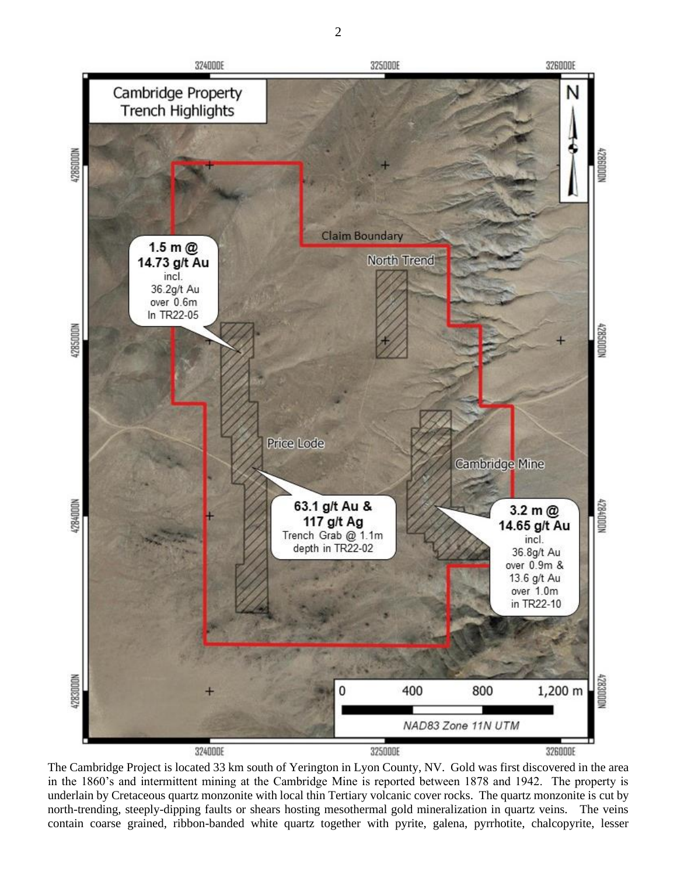

The Cambridge Project is located 33 km south of Yerington in Lyon County, NV. Gold was first discovered in the area in the 1860's and intermittent mining at the Cambridge Mine is reported between 1878 and 1942. The property is underlain by Cretaceous quartz monzonite with local thin Tertiary volcanic cover rocks. The quartz monzonite is cut by north-trending, steeply-dipping faults or shears hosting mesothermal gold mineralization in quartz veins. The veins contain coarse grained, ribbon-banded white quartz together with pyrite, galena, pyrrhotite, chalcopyrite, lesser